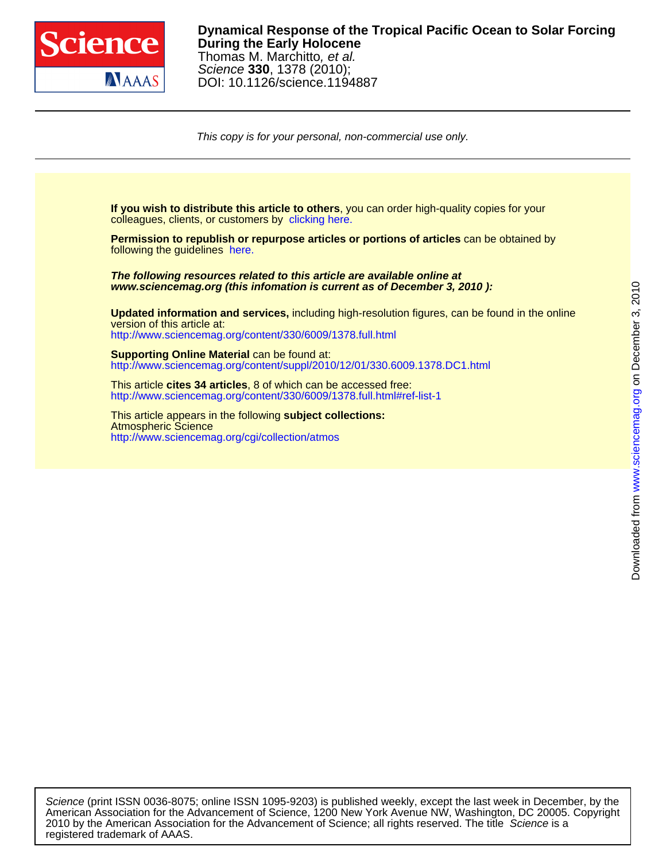

registered trademark of AAAS.

## DOI: 10.1126/science.1194887 Science **330**, 1378 (2010); Thomas M. Marchitto, et al. **During the Early Holocene Dynamical Response of the Tropical Pacific Ocean to Solar Forcing**

This copy is for your personal, non-commercial use only.

colleagues, clients, or customers by [clicking here.](http://www.sciencemag.org/about/permissions.dtl) **If you wish to distribute this article to others**, you can order high-quality copies for your

following the guidelines [here.](http://www.sciencemag.org/about/permissions.dtl) **Permission to republish or repurpose articles or portions of articles** can be obtained by

**www.sciencemag.org (this infomation is current as of December 3, 2010 ): The following resources related to this article are available online at**

<http://www.sciencemag.org/content/330/6009/1378.full.html> version of this article at: **Updated information and services,** including high-resolution figures, can be found in the online

<http://www.sciencemag.org/content/suppl/2010/12/01/330.6009.1378.DC1.html> **Supporting Online Material** can be found at:

<http://www.sciencemag.org/content/330/6009/1378.full.html#ref-list-1> This article **cites 34 articles**, 8 of which can be accessed free:

<http://www.sciencemag.org/cgi/collection/atmos> Atmospheric Science This article appears in the following **subject collections:**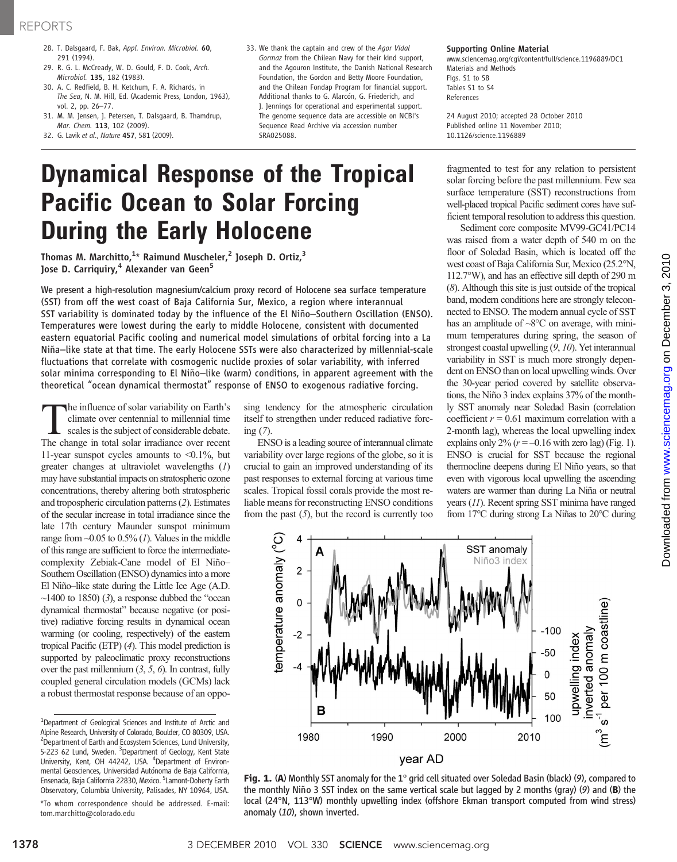- 28. T. Dalsgaard, F. Bak, Appl. Environ. Microbiol. 60, 291 (1994).
- 29. R. G. L. McCready, W. D. Gould, F. D. Cook, Arch. Microbiol. 135, 182 (1983).
- 30. A. C. Redfield, B. H. Ketchum, F. A. Richards, in The Sea, N. M. Hill, Ed. (Academic Press, London, 1963), vol. 2, pp. 26–77.
- 31. M. M. Jensen, J. Petersen, T. Dalsgaard, B. Thamdrup, Mar. Chem. 113, 102 (2009).
- 32. G. Lavik et al., Nature 457, 581 (2009).
- 33. We thank the captain and crew of the Agor Vidal Gormaz from the Chilean Navy for their kind support, and the Agouron Institute, the Danish National Research Foundation, the Gordon and Betty Moore Foundation, and the Chilean Fondap Program for financial support. Additional thanks to G. Alarcón, G. Friederich, and J. Jennings for operational and experimental support. The genome sequence data are accessible on NCBI's Sequence Read Archive via accession number SRA025088.

### Supporting Online Material

www.sciencemag.org/cgi/content/full/science.1196889/DC1 Materials and Methods Figs. S1 to S8 Tables S1 to S4 References

24 August 2010; accepted 28 October 2010 Published online 11 November 2010; 10.1126/science.1196889

## Dynamical Response of the Tropical Pacific Ocean to Solar Forcing During the Early Holocene

Thomas M. Marchitto, $^{1\star}$  Raimund Muscheler, $^2$  Joseph D. Ortiz, $^3$ Jose D. Carriquiry,<sup>4</sup> Alexander van Geen<sup>5</sup>

We present a high-resolution magnesium/calcium proxy record of Holocene sea surface temperature (SST) from off the west coast of Baja California Sur, Mexico, a region where interannual SST variability is dominated today by the influence of the El Niño–Southern Oscillation (ENSO). Temperatures were lowest during the early to middle Holocene, consistent with documented eastern equatorial Pacific cooling and numerical model simulations of orbital forcing into a La Niña–like state at that time. The early Holocene SSTs were also characterized by millennial-scale fluctuations that correlate with cosmogenic nuclide proxies of solar variability, with inferred solar minima corresponding to El Niño–like (warm) conditions, in apparent agreement with the theoretical "ocean dynamical thermostat" response of ENSO to exogenous radiative forcing.

The influence of solar variability on Earth's<br>climate over centennial to millennial time<br>scales is the subject of considerable debate.<br>The change in total solar irradiance over recent climate over centennial to millennial time The change in total solar irradiance over recent 11-year sunspot cycles amounts to <0.1%, but greater changes at ultraviolet wavelengths (1) may have substantial impacts on stratospheric ozone concentrations, thereby altering both stratospheric and tropospheric circulation patterns (2). Estimates of the secular increase in total irradiance since the late 17th century Maunder sunspot minimum range from  $\sim$ 0.05 to 0.5% (1). Values in the middle of this range are sufficient to force the intermediatecomplexity Zebiak-Cane model of El Niño– Southern Oscillation (ENSO) dynamics into a more El Niño–like state during the Little Ice Age (A.D.  $\sim$ 1400 to 1850) (3), a response dubbed the "ocean dynamical thermostat" because negative (or positive) radiative forcing results in dynamical ocean warming (or cooling, respectively) of the eastern tropical Pacific (ETP) (4). This model prediction is supported by paleoclimatic proxy reconstructions over the past millennium  $(3, 5, 6)$ . In contrast, fully coupled general circulation models (GCMs) lack a robust thermostat response because of an oppo-

<sup>1</sup>Department of Geological Sciences and Institute of Arctic and Alpine Research, University of Colorado, Boulder, CO 80309, USA. <sup>2</sup> Department of Earth and Ecosystem Sciences, Lund University, S-223 62 Lund, Sweden. <sup>3</sup>Department of Geology, Kent State University, Kent, OH 44242, USA. <sup>4</sup>Department of Environmental Geosciences, Universidad Autónoma de Baja California, Ensenada, Baja California 22830, Mexico. <sup>5</sup>Lamont-Doherty Earth Observatory, Columbia University, Palisades, NY 10964, USA.

\*To whom correspondence should be addressed. E-mail: tom.marchitto@colorado.edu

sing tendency for the atmospheric circulation itself to strengthen under reduced radiative forcing (7).

ENSO is a leading source of interannual climate variability over large regions of the globe, so it is crucial to gain an improved understanding of its past responses to external forcing at various time scales. Tropical fossil corals provide the most reliable means for reconstructing ENSO conditions from the past  $(5)$ , but the record is currently too fragmented to test for any relation to persistent solar forcing before the past millennium. Few sea surface temperature (SST) reconstructions from well-placed tropical Pacific sediment cores have sufficient temporal resolution to address this question.

Sediment core composite MV99-GC41/PC14 was raised from a water depth of 540 m on the floor of Soledad Basin, which is located off the west coast of Baja California Sur, Mexico (25.2°N, 112.7°W), and has an effective sill depth of 290 m (8). Although this site is just outside of the tropical band, modern conditions here are strongly teleconnected to ENSO. The modern annual cycle of SST has an amplitude of  $\sim8$ °C on average, with minimum temperatures during spring, the season of strongest coastal upwelling (9, 10). Yet interannual variability in SST is much more strongly dependent on ENSO than on local upwelling winds. Over the 30-year period covered by satellite observations, the Niño 3 index explains 37% of the monthly SST anomaly near Soledad Basin (correlation coefficient  $r = 0.61$  maximum correlation with a 2-month lag), whereas the local upwelling index explains only  $2\%$  ( $r = -0.16$  with zero lag) (Fig. 1). ENSO is crucial for SST because the regional thermocline deepens during El Niño years, so that even with vigorous local upwelling the ascending waters are warmer than during La Niña or neutral years (11). Recent spring SST minima have ranged from 17°C during strong La Niñas to 20°C during



Fig. 1. (A) Monthly SST anomaly for the 1° grid cell situated over Soledad Basin (black) (9), compared to the monthly Niño 3 SST index on the same vertical scale but lagged by 2 months (gray) (9) and (B) the local (24°N, 113°W) monthly upwelling index (offshore Ekman transport computed from wind stress) anomaly (10), shown inverted.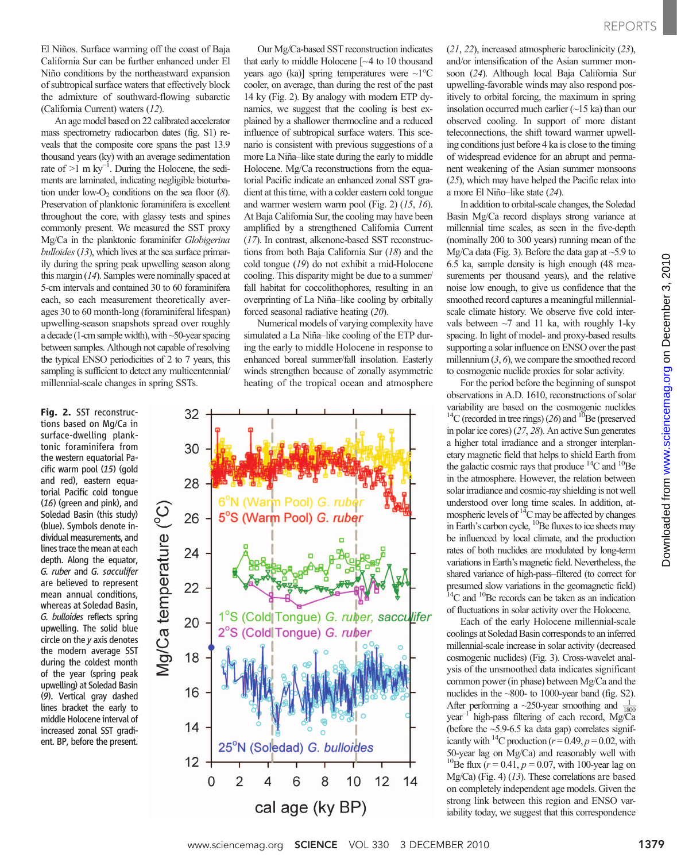El Niños. Surface warming off the coast of Baja California Sur can be further enhanced under El Niño conditions by the northeastward expansion of subtropical surface waters that effectively block the admixture of southward-flowing subarctic (California Current) waters (12).

An age model based on 22 calibrated accelerator mass spectrometry radiocarbon dates (fig. S1) reveals that the composite core spans the past 13.9 thousand years (ky) with an average sedimentation rate of >1 m ky*−*<sup>1</sup> . During the Holocene, the sediments are laminated, indicating negligible bioturbation under low-O<sub>2</sub> conditions on the sea floor  $(8)$ . Preservation of planktonic foraminifera is excellent throughout the core, with glassy tests and spines commonly present. We measured the SST proxy Mg/Ca in the planktonic foraminifer Globigerina  $bulloides(13)$ , which lives at the sea surface primarily during the spring peak upwelling season along this margin (14). Samples were nominally spaced at 5-cm intervals and contained 30 to 60 foraminifera each, so each measurement theoretically averages 30 to 60 month-long (foraminiferal lifespan) upwelling-season snapshots spread over roughly a decade (1-cm sample width), with  $\sim$  50-year spacing between samples. Although not capable of resolving the typical ENSO periodicities of 2 to 7 years, this sampling is sufficient to detect any multicentennial/ millennial-scale changes in spring SSTs.

Fig. 2. SST reconstructions based on Mg/Ca in surface-dwelling planktonic foraminifera from the western equatorial Pacific warm pool (15) (gold and red), eastern equatorial Pacific cold tongue (16) (green and pink), and Soledad Basin (this study) (blue). Symbols denote individual measurements, and lines trace the mean at each depth. Along the equator, G. ruber and G. sacculifer are believed to represent mean annual conditions, whereas at Soledad Basin, G. bulloides reflects spring upwelling. The solid blue circle on the y axis denotes the modern average SST during the coldest month of the year (spring peak upwelling) at Soledad Basin (9). Vertical gray dashed lines bracket the early to middle Holocene interval of increased zonal SST gradient. BP, before the present.

Our Mg/Ca-based SST reconstruction indicates that early to middle Holocene [~4 to 10 thousand years ago (ka)] spring temperatures were  $\sim1^{\circ}$ C cooler, on average, than during the rest of the past 14 ky (Fig. 2). By analogy with modern ETP dynamics, we suggest that the cooling is best explained by a shallower thermocline and a reduced influence of subtropical surface waters. This scenario is consistent with previous suggestions of a more La Niña–like state during the early to middle Holocene. Mg/Ca reconstructions from the equatorial Pacific indicate an enhanced zonal SST gradient at this time, with a colder eastern cold tongue and warmer western warm pool (Fig. 2) (15, 16). At Baja California Sur, the cooling may have been amplified by a strengthened California Current (17). In contrast, alkenone-based SST reconstructions from both Baja California Sur (18) and the cold tongue (19) do not exhibit a mid-Holocene cooling. This disparity might be due to a summer/ fall habitat for coccolithophores, resulting in an overprinting of La Niña–like cooling by orbitally forced seasonal radiative heating (20).

Numerical models of varying complexity have simulated a La Niña–like cooling of the ETP during the early to middle Holocene in response to enhanced boreal summer/fall insolation. Easterly winds strengthen because of zonally asymmetric heating of the tropical ocean and atmosphere



(21, 22), increased atmospheric baroclinicity (23), and/or intensification of the Asian summer monsoon (24). Although local Baja California Sur upwelling-favorable winds may also respond positively to orbital forcing, the maximum in spring insolation occurred much earlier  $(\sim 15 \text{ ka})$  than our observed cooling. In support of more distant teleconnections, the shift toward warmer upwelling conditions just before 4 ka is close to the timing of widespread evidence for an abrupt and permanent weakening of the Asian summer monsoons (25), which may have helped the Pacific relax into a more El Niño–like state (24).

In addition to orbital-scale changes, the Soledad Basin Mg/Ca record displays strong variance at millennial time scales, as seen in the five-depth (nominally 200 to 300 years) running mean of the Mg/Ca data (Fig. 3). Before the data gap at  $\sim$ 5.9 to 6.5 ka, sample density is high enough (48 measurements per thousand years), and the relative noise low enough, to give us confidence that the smoothed record captures a meaningful millennialscale climate history. We observe five cold intervals between  $\sim$ 7 and 11 ka, with roughly 1-ky spacing. In light of model- and proxy-based results supporting a solar influence on ENSO over the past millennium  $(3, 6)$ , we compare the smoothed record to cosmogenic nuclide proxies for solar activity.

For the period before the beginning of sunspot observations in A.D. 1610, reconstructions of solar variability are based on the cosmogenic nuclides <sup>14</sup>C (recorded in tree rings) (26) and <sup>10</sup>Be (preserved in polar ice cores) (27, 28). An active Sun generates a higher total irradiance and a stronger interplanetary magnetic field that helps to shield Earth from the galactic cosmic rays that produce  $^{14}$ C and  $^{10}$ Be in the atmosphere. However, the relation between solar irradiance and cosmic-ray shielding is not well understood over long time scales. In addition, atmospheric levels of  ${}^{14}C$  may be affected by changes in Earth's carbon cycle,  ${}^{10}$ Be fluxes to ice sheets may be influenced by local climate, and the production rates of both nuclides are modulated by long-term variations in Earth's magnetic field. Nevertheless, the shared variance of high-pass–filtered (to correct for presumed slow variations in the geomagnetic field)  $14$ C and  $10$ Be records can be taken as an indication of fluctuations in solar activity over the Holocene.

Each of the early Holocene millennial-scale coolings at Soledad Basin corresponds to an inferred millennial-scale increase in solar activity (decreased cosmogenic nuclides) (Fig. 3). Cross-wavelet analysis of the unsmoothed data indicates significant common power (in phase) between Mg/Ca and the nuclides in the ~800- to 1000-year band (fig. S2). After performing a  $\sim$ 250-year smoothing and  $\frac{1}{1800}$ year–<sup>1</sup> high-pass filtering of each record, Mg/Ca (before the  $\sim$ 5.9-6.5 ka data gap) correlates significantly with <sup>14</sup>C production ( $r = 0.49$ ,  $p = 0.02$ , with 50-year lag on Mg/Ca) and reasonably well with <sup>10</sup>Be flux  $(r = 0.41, p = 0.07,$  with 100-year lag on Mg/Ca) (Fig. 4) (13). These correlations are based on completely independent age models. Given the strong link between this region and ENSO variability today, we suggest that this correspondence on December 3, 2010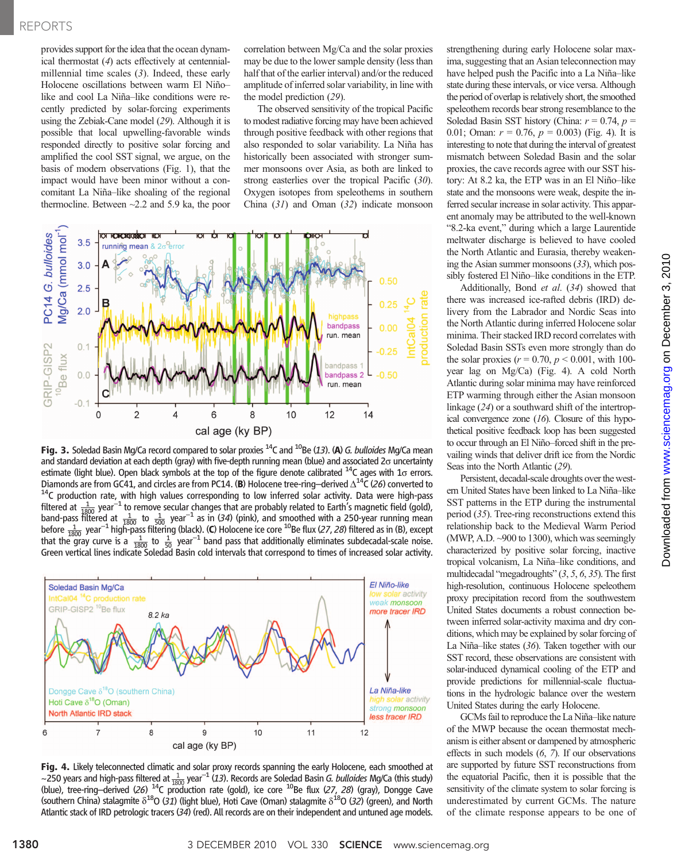## REPORTS

provides support for the idea that the ocean dynamical thermostat (4) acts effectively at centennialmillennial time scales (3). Indeed, these early Holocene oscillations between warm El Niño– like and cool La Niña–like conditions were recently predicted by solar-forcing experiments using the Zebiak-Cane model (29). Although it is possible that local upwelling-favorable winds responded directly to positive solar forcing and amplified the cool SST signal, we argue, on the basis of modern observations (Fig. 1), that the impact would have been minor without a concomitant La Niña–like shoaling of the regional thermocline. Between ~2.2 and 5.9 ka, the poor correlation between Mg/Ca and the solar proxies may be due to the lower sample density (less than half that of the earlier interval) and/or the reduced amplitude of inferred solar variability, in line with the model prediction (29).

The observed sensitivity of the tropical Pacific to modest radiative forcing may have been achieved through positive feedback with other regions that also responded to solar variability. La Niña has historically been associated with stronger summer monsoons over Asia, as both are linked to strong easterlies over the tropical Pacific (30). Oxygen isotopes from speleothems in southern China  $(31)$  and Oman  $(32)$  indicate monsoon



Fig. 3. Soledad Basin Mg/Ca record compared to solar proxies  $^{14}$ C and  $^{10}$ Be (13). (A) G. bulloides Mg/Ca mean and standard deviation at each depth (gray) with five-depth running mean (blue) and associated  $2\sigma$  uncertainty estimate (light blue). Open black symbols at the top of the figure denote calibrated  $^{14}C$  ages with 1 $\sigma$  errors. Diamonds are from GC41, and circles are from PC14. (B) Holocene tree-ring–derived  $\Delta^{14}C$  (26) converted to  $^{14}C$  production rate, with high values corresponding to low inferred solar activity. Data were high-pass filtered at  $\frac{1}{1800}$  year<sup>-1</sup> to remove secular changes that are probably related to Earth's magnetic field (gold), band-pass filtered at  $\frac{1}{1800}$  to  $\frac{1}{500}$  year<sup>-1</sup> as in (34) (pink), and smoothed with a 250-year running mean<br>before  $\frac{1}{1800}$  year<sup>-1</sup> high-pass filtering (black). (C) Holocene ice core <sup>10</sup>Be flux (27, 28)



**Fig. 4.** Likely teleconnected climatic and solar proxy records spanning the early Holocene, each smoothed at  $\sim$  250 years and high-pass filtered at  $\frac{1}{1800}$  year<sup>-1</sup> (13). Records are Soledad Basin *G. bulloides Mg* (blue), tree-ring–derived (26)  $^{14}$ C production rate (gold), ice core  $^{10}$ Be flux (27, 28) (gray), Dongge Cave (southern China) stalagmite  $\delta^{18}O$  (31) (light blue), Hoti Cave (Oman) stalagmite  $\delta^{18}O$  (32) (green), and North Atlantic stack of IRD petrologic tracers (34) (red). All records are on their independent and untuned age models.

strengthening during early Holocene solar maxima, suggesting that an Asian teleconnection may have helped push the Pacific into a La Niña–like state during these intervals, or vice versa. Although the period of overlap is relatively short, the smoothed speleothem records bear strong resemblance to the Soledad Basin SST history (China:  $r = 0.74$ ,  $p =$ 0.01; Oman:  $r = 0.76$ ,  $p = 0.003$ ) (Fig. 4). It is interesting to note that during the interval of greatest mismatch between Soledad Basin and the solar proxies, the cave records agree with our SST history: At 8.2 ka, the ETP was in an El Niño–like state and the monsoons were weak, despite the inferred secular increase in solar activity. This apparent anomaly may be attributed to the well-known "8.2-ka event," during which a large Laurentide meltwater discharge is believed to have cooled the North Atlantic and Eurasia, thereby weakening the Asian summer monsoons (33), which possibly fostered El Niño–like conditions in the ETP.

Additionally, Bond et al. (34) showed that there was increased ice-rafted debris (IRD) delivery from the Labrador and Nordic Seas into the North Atlantic during inferred Holocene solar minima. Their stacked IRD record correlates with Soledad Basin SSTs even more strongly than do the solar proxies ( $r = 0.70$ ,  $p < 0.001$ , with 100year lag on Mg/Ca) (Fig. 4). A cold North Atlantic during solar minima may have reinforced ETP warming through either the Asian monsoon linkage (24) or a southward shift of the intertropical convergence zone  $(16)$ . Closure of this hypothetical positive feedback loop has been suggested to occur through an El Niño–forced shift in the prevailing winds that deliver drift ice from the Nordic Seas into the North Atlantic (29).

Persistent, decadal-scale droughts over the western United States have been linked to La Niña–like SST patterns in the ETP during the instrumental period (35). Tree-ring reconstructions extend this relationship back to the Medieval Warm Period (MWP, A.D. ~900 to 1300), which was seemingly characterized by positive solar forcing, inactive tropical volcanism, La Niña–like conditions, and multidecadal "megadroughts" (3, 5, 6, 35). The first high-resolution, continuous Holocene speleothem proxy precipitation record from the southwestern United States documents a robust connection between inferred solar-activity maxima and dry conditions, which may be explained by solar forcing of La Niña–like states (36). Taken together with our SST record, these observations are consistent with solar-induced dynamical cooling of the ETP and provide predictions for millennial-scale fluctuations in the hydrologic balance over the western United States during the early Holocene.

GCMs fail to reproduce the La Niña–like nature of the MWP because the ocean thermostat mechanism is either absent or dampened by atmospheric effects in such models (6, 7). If our observations are supported by future SST reconstructions from the equatorial Pacific, then it is possible that the sensitivity of the climate system to solar forcing is underestimated by current GCMs. The nature of the climate response appears to be one of